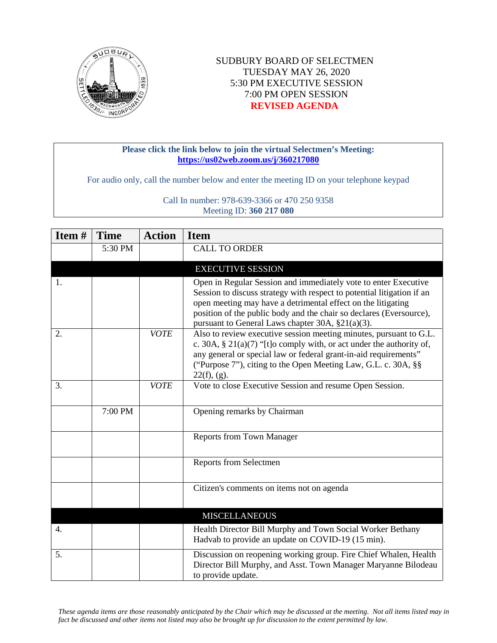

## SUDBURY BOARD OF SELECTMEN TUESDAY MAY 26, 2020 5:30 PM EXECUTIVE SESSION 7:00 PM OPEN SESSION **REVISED AGENDA**

## **Please click the link below to join the virtual Selectmen's Meeting: <https://us02web.zoom.us/j/360217080>**

For audio only, call the number below and enter the meeting ID on your telephone keypad

Call In number: 978-639-3366 or 470 250 9358 Meeting ID: **360 217 080**

| Item# | <b>Time</b> | <b>Action</b> | <b>Item</b>                                                                                                                                                                                                                                                                                                                          |
|-------|-------------|---------------|--------------------------------------------------------------------------------------------------------------------------------------------------------------------------------------------------------------------------------------------------------------------------------------------------------------------------------------|
|       | 5:30 PM     |               | <b>CALL TO ORDER</b>                                                                                                                                                                                                                                                                                                                 |
|       |             |               | <b>EXECUTIVE SESSION</b>                                                                                                                                                                                                                                                                                                             |
| 1.    |             |               | Open in Regular Session and immediately vote to enter Executive<br>Session to discuss strategy with respect to potential litigation if an<br>open meeting may have a detrimental effect on the litigating<br>position of the public body and the chair so declares (Eversource),<br>pursuant to General Laws chapter 30A, §21(a)(3). |
| 2.    |             | <b>VOTE</b>   | Also to review executive session meeting minutes, pursuant to G.L.<br>c. 30A, $\S 21(a)(7)$ "[t]o comply with, or act under the authority of,<br>any general or special law or federal grant-in-aid requirements"<br>("Purpose 7"), citing to the Open Meeting Law, G.L. c. 30A, §§<br>22(f), (g).                                   |
| 3.    |             | <b>VOTE</b>   | Vote to close Executive Session and resume Open Session.                                                                                                                                                                                                                                                                             |
|       | 7:00 PM     |               | Opening remarks by Chairman                                                                                                                                                                                                                                                                                                          |
|       |             |               | <b>Reports from Town Manager</b>                                                                                                                                                                                                                                                                                                     |
|       |             |               | Reports from Selectmen                                                                                                                                                                                                                                                                                                               |
|       |             |               | Citizen's comments on items not on agenda                                                                                                                                                                                                                                                                                            |
|       |             |               | <b>MISCELLANEOUS</b>                                                                                                                                                                                                                                                                                                                 |
| 4.    |             |               | Health Director Bill Murphy and Town Social Worker Bethany<br>Hadvab to provide an update on COVID-19 (15 min).                                                                                                                                                                                                                      |
| 5.    |             |               | Discussion on reopening working group. Fire Chief Whalen, Health<br>Director Bill Murphy, and Asst. Town Manager Maryanne Bilodeau<br>to provide update.                                                                                                                                                                             |

*These agenda items are those reasonably anticipated by the Chair which may be discussed at the meeting. Not all items listed may in fact be discussed and other items not listed may also be brought up for discussion to the extent permitted by law.*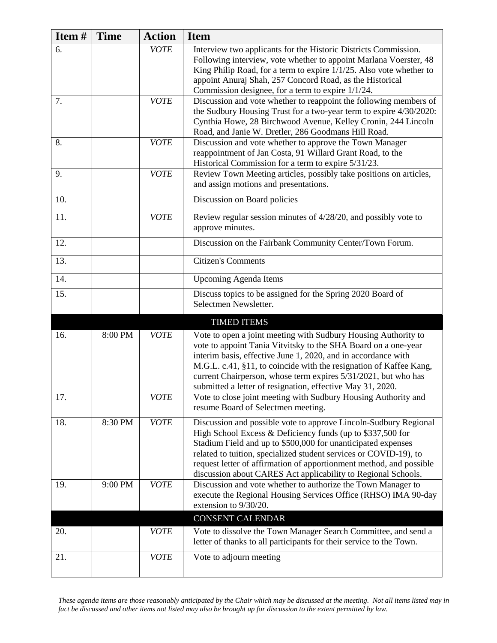| Item# | <b>Time</b> | <b>Action</b> | <b>Item</b>                                                                                                                                                                                                                                                                                                                                                                                                 |
|-------|-------------|---------------|-------------------------------------------------------------------------------------------------------------------------------------------------------------------------------------------------------------------------------------------------------------------------------------------------------------------------------------------------------------------------------------------------------------|
| 6.    |             | <b>VOTE</b>   | Interview two applicants for the Historic Districts Commission.<br>Following interview, vote whether to appoint Marlana Voerster, 48<br>King Philip Road, for a term to expire 1/1/25. Also vote whether to<br>appoint Anuraj Shah, 257 Concord Road, as the Historical<br>Commission designee, for a term to expire 1/1/24.                                                                                |
| 7.    |             | <b>VOTE</b>   | Discussion and vote whether to reappoint the following members of<br>the Sudbury Housing Trust for a two-year term to expire 4/30/2020:<br>Cynthia Howe, 28 Birchwood Avenue, Kelley Cronin, 244 Lincoln<br>Road, and Janie W. Dretler, 286 Goodmans Hill Road.                                                                                                                                             |
| 8.    |             | <b>VOTE</b>   | Discussion and vote whether to approve the Town Manager<br>reappointment of Jan Costa, 91 Willard Grant Road, to the<br>Historical Commission for a term to expire 5/31/23.                                                                                                                                                                                                                                 |
| 9.    |             | <b>VOTE</b>   | Review Town Meeting articles, possibly take positions on articles,<br>and assign motions and presentations.                                                                                                                                                                                                                                                                                                 |
| 10.   |             |               | Discussion on Board policies                                                                                                                                                                                                                                                                                                                                                                                |
| 11.   |             | <b>VOTE</b>   | Review regular session minutes of 4/28/20, and possibly vote to<br>approve minutes.                                                                                                                                                                                                                                                                                                                         |
| 12.   |             |               | Discussion on the Fairbank Community Center/Town Forum.                                                                                                                                                                                                                                                                                                                                                     |
| 13.   |             |               | <b>Citizen's Comments</b>                                                                                                                                                                                                                                                                                                                                                                                   |
| 14.   |             |               | <b>Upcoming Agenda Items</b>                                                                                                                                                                                                                                                                                                                                                                                |
| 15.   |             |               | Discuss topics to be assigned for the Spring 2020 Board of<br>Selectmen Newsletter.                                                                                                                                                                                                                                                                                                                         |
|       |             |               | <b>TIMED ITEMS</b>                                                                                                                                                                                                                                                                                                                                                                                          |
| 16.   | 8:00 PM     | <b>VOTE</b>   | Vote to open a joint meeting with Sudbury Housing Authority to<br>vote to appoint Tania Vitvitsky to the SHA Board on a one-year<br>interim basis, effective June 1, 2020, and in accordance with<br>M.G.L. c.41, §11, to coincide with the resignation of Kaffee Kang,<br>current Chairperson, whose term expires 5/31/2021, but who has<br>submitted a letter of resignation, effective May 31, 2020.     |
| 17.   |             | <b>VOTE</b>   | Vote to close joint meeting with Sudbury Housing Authority and<br>resume Board of Selectmen meeting.                                                                                                                                                                                                                                                                                                        |
| 18.   | 8:30 PM     | <b>VOTE</b>   | Discussion and possible vote to approve Lincoln-Sudbury Regional<br>High School Excess & Deficiency funds (up to \$337,500 for<br>Stadium Field and up to \$500,000 for unanticipated expenses<br>related to tuition, specialized student services or COVID-19), to<br>request letter of affirmation of apportionment method, and possible<br>discussion about CARES Act applicability to Regional Schools. |
| 19.   | 9:00 PM     | <b>VOTE</b>   | Discussion and vote whether to authorize the Town Manager to<br>execute the Regional Housing Services Office (RHSO) IMA 90-day<br>extension to 9/30/20.                                                                                                                                                                                                                                                     |
|       |             |               | <b>CONSENT CALENDAR</b>                                                                                                                                                                                                                                                                                                                                                                                     |
| 20.   |             | <b>VOTE</b>   | Vote to dissolve the Town Manager Search Committee, and send a<br>letter of thanks to all participants for their service to the Town.                                                                                                                                                                                                                                                                       |
| 21.   |             | <b>VOTE</b>   | Vote to adjourn meeting                                                                                                                                                                                                                                                                                                                                                                                     |

*These agenda items are those reasonably anticipated by the Chair which may be discussed at the meeting. Not all items listed may in fact be discussed and other items not listed may also be brought up for discussion to the extent permitted by law.*